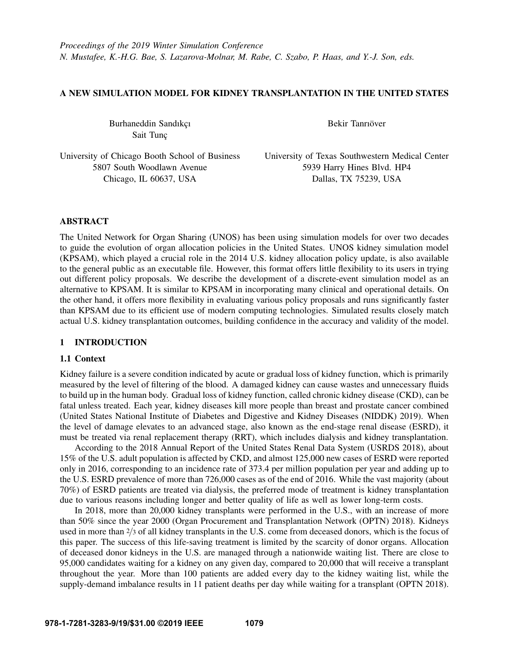## A NEW SIMULATION MODEL FOR KIDNEY TRANSPLANTATION IN THE UNITED STATES

Burhaneddin Sandıkçı Sait Tunc

Bekir Tanrıöver

University of Chicago Booth School of Business 5807 South Woodlawn Avenue Chicago, IL 60637, USA

University of Texas Southwestern Medical Center 5939 Harry Hines Blvd. HP4 Dallas, TX 75239, USA

# ABSTRACT

The United Network for Organ Sharing (UNOS) has been using simulation models for over two decades to guide the evolution of organ allocation policies in the United States. UNOS kidney simulation model (KPSAM), which played a crucial role in the 2014 U.S. kidney allocation policy update, is also available to the general public as an executable file. However, this format offers little flexibility to its users in trying out different policy proposals. We describe the development of a discrete-event simulation model as an alternative to KPSAM. It is similar to KPSAM in incorporating many clinical and operational details. On the other hand, it offers more flexibility in evaluating various policy proposals and runs significantly faster than KPSAM due to its efficient use of modern computing technologies. Simulated results closely match actual U.S. kidney transplantation outcomes, building confidence in the accuracy and validity of the model.

# 1 INTRODUCTION

# 1.1 Context

Kidney failure is a severe condition indicated by acute or gradual loss of kidney function, which is primarily measured by the level of filtering of the blood. A damaged kidney can cause wastes and unnecessary fluids to build up in the human body. Gradual loss of kidney function, called chronic kidney disease (CKD), can be fatal unless treated. Each year, kidney diseases kill more people than breast and prostate cancer combined (United States National Institute of Diabetes and Digestive and Kidney Diseases (NIDDK) [2019\)](#page-11-0). When the level of damage elevates to an advanced stage, also known as the end-stage renal disease (ESRD), it must be treated via renal replacement therapy (RRT), which includes dialysis and kidney transplantation.

According to the 2018 Annual Report of the United States Renal Data System [\(USRDS 2018\)](#page-11-1), about 15% of the U.S. adult population is affected by CKD, and almost 125,000 new cases of ESRD were reported only in 2016, corresponding to an incidence rate of 373.4 per million population per year and adding up to the U.S. ESRD prevalence of more than 726,000 cases as of the end of 2016. While the vast majority (about 70%) of ESRD patients are treated via dialysis, the preferred mode of treatment is kidney transplantation due to various reasons including longer and better quality of life as well as lower long-term costs.

In 2018, more than 20,000 kidney transplants were performed in the U.S., with an increase of more than 50% since the year 2000 (Organ Procurement and Transplantation Network (OPTN) [2018\)](#page-11-2). Kidneys used in more than 2/3 of all kidney transplants in the U.S. come from deceased donors, which is the focus of this paper. The success of this life-saving treatment is limited by the scarcity of donor organs. Allocation of deceased donor kidneys in the U.S. are managed through a nationwide waiting list. There are close to 95,000 candidates waiting for a kidney on any given day, compared to 20,000 that will receive a transplant throughout the year. More than 100 patients are added every day to the kidney waiting list, while the supply-demand imbalance results in 11 patient deaths per day while waiting for a transplant [\(OPTN 2018\)](#page-11-2).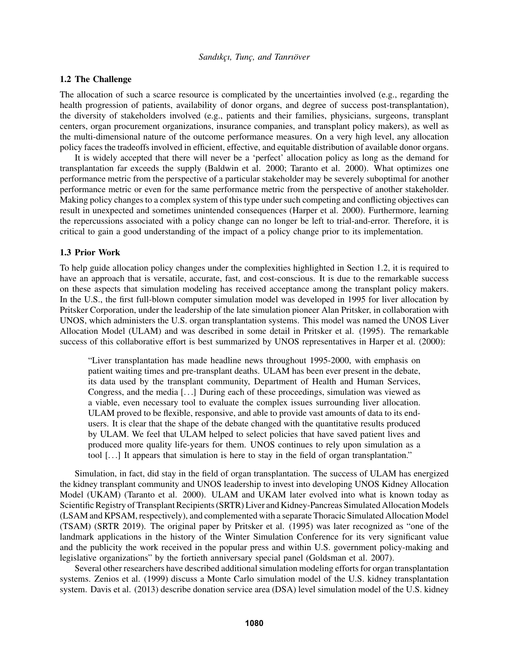## <span id="page-1-0"></span>1.2 The Challenge

The allocation of such a scarce resource is complicated by the uncertainties involved (e.g., regarding the health progression of patients, availability of donor organs, and degree of success post-transplantation), the diversity of stakeholders involved (e.g., patients and their families, physicians, surgeons, transplant centers, organ procurement organizations, insurance companies, and transplant policy makers), as well as the multi-dimensional nature of the outcome performance measures. On a very high level, any allocation policy faces the tradeoffs involved in efficient, effective, and equitable distribution of available donor organs.

It is widely accepted that there will never be a 'perfect' allocation policy as long as the demand for transplantation far exceeds the supply [\(Baldwin et al. 2000;](#page-10-0) [Taranto et al. 2000\)](#page-11-3). What optimizes one performance metric from the perspective of a particular stakeholder may be severely suboptimal for another performance metric or even for the same performance metric from the perspective of another stakeholder. Making policy changes to a complex system of this type under such competing and conflicting objectives can result in unexpected and sometimes unintended consequences [\(Harper et al. 2000\)](#page-10-1). Furthermore, learning the repercussions associated with a policy change can no longer be left to trial-and-error. Therefore, it is critical to gain a good understanding of the impact of a policy change prior to its implementation.

### <span id="page-1-1"></span>1.3 Prior Work

To help guide allocation policy changes under the complexities highlighted in Section [1.2,](#page-1-0) it is required to have an approach that is versatile, accurate, fast, and cost-conscious. It is due to the remarkable success on these aspects that simulation modeling has received acceptance among the transplant policy makers. In the U.S., the first full-blown computer simulation model was developed in 1995 for liver allocation by Pritsker Corporation, under the leadership of the late simulation pioneer Alan Pritsker, in collaboration with UNOS, which administers the U.S. organ transplantation systems. This model was named the UNOS Liver Allocation Model (ULAM) and was described in some detail in [Pritsker et al. \(1995\).](#page-11-4) The remarkable success of this collaborative effort is best summarized by UNOS representatives in [Harper et al. \(2000\):](#page-10-1)

"Liver transplantation has made headline news throughout 1995-2000, with emphasis on patient waiting times and pre-transplant deaths. ULAM has been ever present in the debate, its data used by the transplant community, Department of Health and Human Services, Congress, and the media [. . .] During each of these proceedings, simulation was viewed as a viable, even necessary tool to evaluate the complex issues surrounding liver allocation. ULAM proved to be flexible, responsive, and able to provide vast amounts of data to its endusers. It is clear that the shape of the debate changed with the quantitative results produced by ULAM. We feel that ULAM helped to select policies that have saved patient lives and produced more quality life-years for them. UNOS continues to rely upon simulation as a tool [. . .] It appears that simulation is here to stay in the field of organ transplantation."

Simulation, in fact, did stay in the field of organ transplantation. The success of ULAM has energized the kidney transplant community and UNOS leadership to invest into developing UNOS Kidney Allocation Model (UKAM) [\(Taranto et al. 2000\)](#page-11-3). ULAM and UKAM later evolved into what is known today as Scientific Registry of Transplant Recipients (SRTR) Liver and Kidney-Pancreas Simulated Allocation Models (LSAM and KPSAM, respectively), and complemented with a separate Thoracic Simulated Allocation Model (TSAM) [\(SRTR 2019\)](#page-11-5). The original paper by [Pritsker et al. \(1995\)](#page-11-4) was later recognized as "one of the landmark applications in the history of the Winter Simulation Conference for its very significant value and the publicity the work received in the popular press and within U.S. government policy-making and legislative organizations" by the fortieth anniversary special panel [\(Goldsman et al. 2007\)](#page-10-2).

Several other researchers have described additional simulation modeling efforts for organ transplantation systems. [Zenios et al. \(1999\)](#page-11-6) discuss a Monte Carlo simulation model of the U.S. kidney transplantation system. [Davis et al. \(2013\)](#page-10-3) describe donation service area (DSA) level simulation model of the U.S. kidney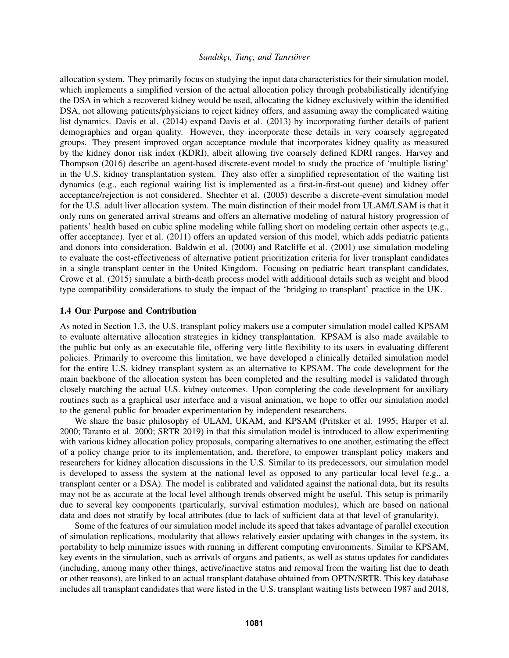allocation system. They primarily focus on studying the input data characteristics for their simulation model, which implements a simplified version of the actual allocation policy through probabilistically identifying the DSA in which a recovered kidney would be used, allocating the kidney exclusively within the identified DSA, not allowing patients/physicians to reject kidney offers, and assuming away the complicated waiting list dynamics. [Davis et al. \(2014\)](#page-10-4) expand [Davis et al. \(2013\)](#page-10-3) by incorporating further details of patient demographics and organ quality. However, they incorporate these details in very coarsely aggregated groups. They present improved organ acceptance module that incorporates kidney quality as measured by the kidney donor risk index (KDRI), albeit allowing five coarsely defined KDRI ranges. [Harvey and](#page-10-5) [Thompson \(2016\)](#page-10-5) describe an agent-based discrete-event model to study the practice of 'multiple listing' in the U.S. kidney transplantation system. They also offer a simplified representation of the waiting list dynamics (e.g., each regional waiting list is implemented as a first-in-first-out queue) and kidney offer acceptance/rejection is not considered. [Shechter et al. \(2005\)](#page-11-7) describe a discrete-event simulation model for the U.S. adult liver allocation system. The main distinction of their model from ULAM/LSAM is that it only runs on generated arrival streams and offers an alternative modeling of natural history progression of patients' health based on cubic spline modeling while falling short on modeling certain other aspects (e.g., offer acceptance). [Iyer et al. \(2011\)](#page-10-6) offers an updated version of this model, which adds pediatric patients and donors into consideration. [Baldwin et al. \(2000\)](#page-10-0) and [Ratcliffe et al. \(2001\)](#page-11-8) use simulation modeling to evaluate the cost-effectiveness of alternative patient prioritization criteria for liver transplant candidates in a single transplant center in the United Kingdom. Focusing on pediatric heart transplant candidates, [Crowe et al. \(2015\)](#page-10-7) simulate a birth-death process model with additional details such as weight and blood type compatibility considerations to study the impact of the 'bridging to transplant' practice in the UK.

## 1.4 Our Purpose and Contribution

As noted in Section [1.3,](#page-1-1) the U.S. transplant policy makers use a computer simulation model called KPSAM to evaluate alternative allocation strategies in kidney transplantation. KPSAM is also made available to the public but only as an executable file, offering very little flexibility to its users in evaluating different policies. Primarily to overcome this limitation, we have developed a clinically detailed simulation model for the entire U.S. kidney transplant system as an alternative to KPSAM. The code development for the main backbone of the allocation system has been completed and the resulting model is validated through closely matching the actual U.S. kidney outcomes. Upon completing the code development for auxiliary routines such as a graphical user interface and a visual animation, we hope to offer our simulation model to the general public for broader experimentation by independent researchers.

We share the basic philosophy of ULAM, UKAM, and KPSAM [\(Pritsker et al. 1995;](#page-11-4) [Harper et al.](#page-10-1) [2000;](#page-10-1) [Taranto et al. 2000;](#page-11-3) [SRTR 2019\)](#page-11-5) in that this simulation model is introduced to allow experimenting with various kidney allocation policy proposals, comparing alternatives to one another, estimating the effect of a policy change prior to its implementation, and, therefore, to empower transplant policy makers and researchers for kidney allocation discussions in the U.S. Similar to its predecessors, our simulation model is developed to assess the system at the national level as opposed to any particular local level (e.g., a transplant center or a DSA). The model is calibrated and validated against the national data, but its results may not be as accurate at the local level although trends observed might be useful. This setup is primarily due to several key components (particularly, survival estimation modules), which are based on national data and does not stratify by local attributes (due to lack of sufficient data at that level of granularity).

Some of the features of our simulation model include its speed that takes advantage of parallel execution of simulation replications, modularity that allows relatively easier updating with changes in the system, its portability to help minimize issues with running in different computing environments. Similar to KPSAM, key events in the simulation, such as arrivals of organs and patients, as well as status updates for candidates (including, among many other things, active/inactive status and removal from the waiting list due to death or other reasons), are linked to an actual transplant database obtained from OPTN/SRTR. This key database includes all transplant candidates that were listed in the U.S. transplant waiting lists between 1987 and 2018,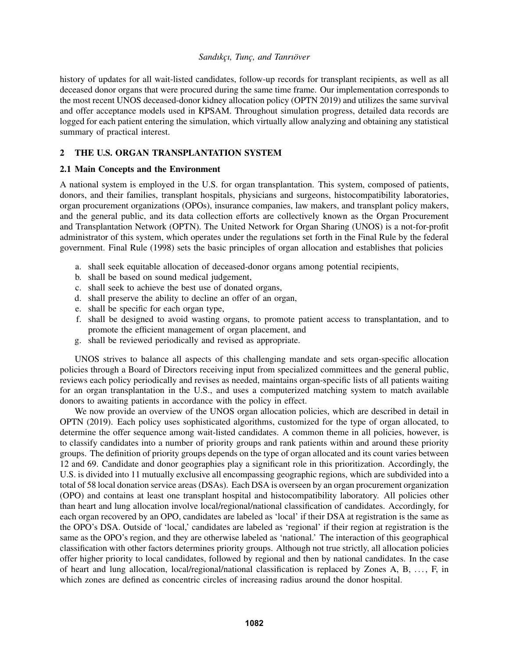history of updates for all wait-listed candidates, follow-up records for transplant recipients, as well as all deceased donor organs that were procured during the same time frame. Our implementation corresponds to the most recent UNOS deceased-donor kidney allocation policy [\(OPTN 2019\)](#page-11-9) and utilizes the same survival and offer acceptance models used in KPSAM. Throughout simulation progress, detailed data records are logged for each patient entering the simulation, which virtually allow analyzing and obtaining any statistical summary of practical interest.

# 2 THE U.S. ORGAN TRANSPLANTATION SYSTEM

# <span id="page-3-0"></span>2.1 Main Concepts and the Environment

A national system is employed in the U.S. for organ transplantation. This system, composed of patients, donors, and their families, transplant hospitals, physicians and surgeons, histocompatibility laboratories, organ procurement organizations (OPOs), insurance companies, law makers, and transplant policy makers, and the general public, and its data collection efforts are collectively known as the Organ Procurement and Transplantation Network (OPTN). The United Network for Organ Sharing (UNOS) is a not-for-profit administrator of this system, which operates under the regulations set forth in the Final Rule by the federal government. [Final Rule \(1998\)](#page-10-8) sets the basic principles of organ allocation and establishes that policies

- a. shall seek equitable allocation of deceased-donor organs among potential recipients,
- b. shall be based on sound medical judgement,
- c. shall seek to achieve the best use of donated organs,
- d. shall preserve the ability to decline an offer of an organ,
- e. shall be specific for each organ type,
- f. shall be designed to avoid wasting organs, to promote patient access to transplantation, and to promote the efficient management of organ placement, and
- g. shall be reviewed periodically and revised as appropriate.

UNOS strives to balance all aspects of this challenging mandate and sets organ-specific allocation policies through a Board of Directors receiving input from specialized committees and the general public, reviews each policy periodically and revises as needed, maintains organ-specific lists of all patients waiting for an organ transplantation in the U.S., and uses a computerized matching system to match available donors to awaiting patients in accordance with the policy in effect.

We now provide an overview of the UNOS organ allocation policies, which are described in detail in [OPTN \(2019\).](#page-11-9) Each policy uses sophisticated algorithms, customized for the type of organ allocated, to determine the offer sequence among wait-listed candidates. A common theme in all policies, however, is to classify candidates into a number of priority groups and rank patients within and around these priority groups. The definition of priority groups depends on the type of organ allocated and its count varies between 12 and 69. Candidate and donor geographies play a significant role in this prioritization. Accordingly, the U.S. is divided into 11 mutually exclusive all encompassing geographic regions, which are subdivided into a total of 58 local donation service areas (DSAs). Each DSA is overseen by an organ procurement organization (OPO) and contains at least one transplant hospital and histocompatibility laboratory. All policies other than heart and lung allocation involve local/regional/national classification of candidates. Accordingly, for each organ recovered by an OPO, candidates are labeled as 'local' if their DSA at registration is the same as the OPO's DSA. Outside of 'local,' candidates are labeled as 'regional' if their region at registration is the same as the OPO's region, and they are otherwise labeled as 'national.' The interaction of this geographical classification with other factors determines priority groups. Although not true strictly, all allocation policies offer higher priority to local candidates, followed by regional and then by national candidates. In the case of heart and lung allocation, local/regional/national classification is replaced by Zones A, B, . . . , F, in which zones are defined as concentric circles of increasing radius around the donor hospital.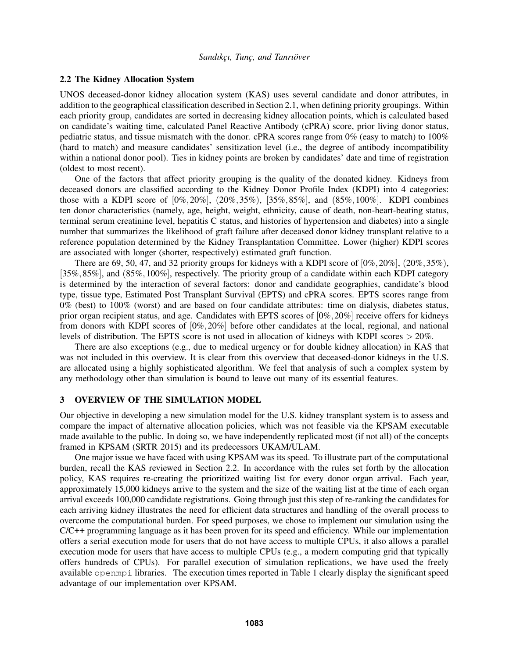### <span id="page-4-0"></span>2.2 The Kidney Allocation System

UNOS deceased-donor kidney allocation system (KAS) uses several candidate and donor attributes, in addition to the geographical classification described in Section [2.1,](#page-3-0) when defining priority groupings. Within each priority group, candidates are sorted in decreasing kidney allocation points, which is calculated based on candidate's waiting time, calculated Panel Reactive Antibody (cPRA) score, prior living donor status, pediatric status, and tissue mismatch with the donor. cPRA scores range from 0% (easy to match) to 100% (hard to match) and measure candidates' sensitization level (i.e., the degree of antibody incompatibility within a national donor pool). Ties in kidney points are broken by candidates' date and time of registration (oldest to most recent).

One of the factors that affect priority grouping is the quality of the donated kidney. Kidneys from deceased donors are classified according to the Kidney Donor Profile Index (KDPI) into 4 categories: those with a KDPI score of  $[0\%, 20\%]$ ,  $(20\%, 35\%)$ ,  $[35\%, 85\%]$ , and  $(85\%, 100\%)$ . KDPI combines ten donor characteristics (namely, age, height, weight, ethnicity, cause of death, non-heart-beating status, terminal serum creatinine level, hepatitis C status, and histories of hypertension and diabetes) into a single number that summarizes the likelihood of graft failure after deceased donor kidney transplant relative to a reference population determined by the Kidney Transplantation Committee. Lower (higher) KDPI scores are associated with longer (shorter, respectively) estimated graft function.

There are 69, 50, 47, and 32 priority groups for kidneys with a KDPI score of  $[0\%, 20\%]$ ,  $(20\%, 35\%)$ , [35%, 85%], and (85%, 100%], respectively. The priority group of a candidate within each KDPI category is determined by the interaction of several factors: donor and candidate geographies, candidate's blood type, tissue type, Estimated Post Transplant Survival (EPTS) and cPRA scores. EPTS scores range from  $0\%$  (best) to  $100\%$  (worst) and are based on four candidate attributes: time on dialysis, diabetes status, prior organ recipient status, and age. Candidates with EPTS scores of [0%,20%] receive offers for kidneys from donors with KDPI scores of [0%,20%] before other candidates at the local, regional, and national levels of distribution. The EPTS score is not used in allocation of kidneys with KDPI scores > 20%.

There are also exceptions (e.g., due to medical urgency or for double kidney allocation) in KAS that was not included in this overview. It is clear from this overview that deceased-donor kidneys in the U.S. are allocated using a highly sophisticated algorithm. We feel that analysis of such a complex system by any methodology other than simulation is bound to leave out many of its essential features.

### 3 OVERVIEW OF THE SIMULATION MODEL

Our objective in developing a new simulation model for the U.S. kidney transplant system is to assess and compare the impact of alternative allocation policies, which was not feasible via the KPSAM executable made available to the public. In doing so, we have independently replicated most (if not all) of the concepts framed in KPSAM [\(SRTR 2015\)](#page-11-10) and its predecessors UKAM/ULAM.

One major issue we have faced with using KPSAM was its speed. To illustrate part of the computational burden, recall the KAS reviewed in Section [2.2.](#page-4-0) In accordance with the rules set forth by the allocation policy, KAS requires re-creating the prioritized waiting list for every donor organ arrival. Each year, approximately 15,000 kidneys arrive to the system and the size of the waiting list at the time of each organ arrival exceeds 100,000 candidate registrations. Going through just this step of re-ranking the candidates for each arriving kidney illustrates the need for efficient data structures and handling of the overall process to overcome the computational burden. For speed purposes, we chose to implement our simulation using the C/C++ programming language as it has been proven for its speed and efficiency. While our implementation offers a serial execution mode for users that do not have access to multiple CPUs, it also allows a parallel execution mode for users that have access to multiple CPUs (e.g., a modern computing grid that typically offers hundreds of CPUs). For parallel execution of simulation replications, we have used the freely available openmpi libraries. The execution times reported in Table [1](#page-5-0) clearly display the significant speed advantage of our implementation over KPSAM.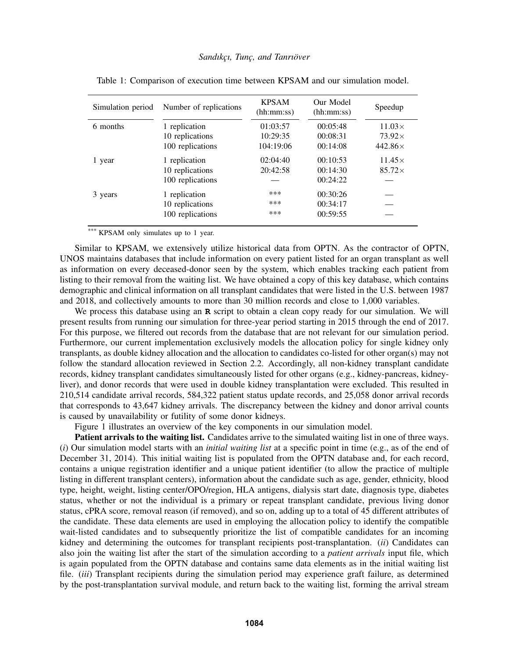| Simulation period | Number of replications | <b>KPSAM</b><br>(hh:mm:ss) | Our Model<br>(hh:mm:ss) | Speedup        |
|-------------------|------------------------|----------------------------|-------------------------|----------------|
| 6 months          | 1 replication          | 01:03:57                   | 00:05:48                | $11.03\times$  |
|                   | 10 replications        | 10:29:35                   | 00:08:31                | $73.92\times$  |
|                   | 100 replications       | 104:19:06                  | 00:14:08                | $442.86\times$ |
| 1 year            | 1 replication          | 02:04:40                   | 00:10:53                | $11.45\times$  |
|                   | 10 replications        | 20:42:58                   | 00:14:30                | $85.72\times$  |
|                   | 100 replications       |                            | 00:24:22                |                |
| 3 years           | 1 replication          | ***                        | 00:30:26                |                |
|                   | 10 replications        | ***                        | 00:34:17                |                |
|                   | 100 replications       | ***                        | 00:59:55                |                |

<span id="page-5-0"></span>Table 1: Comparison of execution time between KPSAM and our simulation model.

KPSAM only simulates up to 1 year.

Similar to KPSAM, we extensively utilize historical data from OPTN. As the contractor of OPTN, UNOS maintains databases that include information on every patient listed for an organ transplant as well as information on every deceased-donor seen by the system, which enables tracking each patient from listing to their removal from the waiting list. We have obtained a copy of this key database, which contains demographic and clinical information on all transplant candidates that were listed in the U.S. between 1987 and 2018, and collectively amounts to more than 30 million records and close to 1,000 variables.

We process this database using an **R** script to obtain a clean copy ready for our simulation. We will present results from running our simulation for three-year period starting in 2015 through the end of 2017. For this purpose, we filtered out records from the database that are not relevant for our simulation period. Furthermore, our current implementation exclusively models the allocation policy for single kidney only transplants, as double kidney allocation and the allocation to candidates co-listed for other organ(s) may not follow the standard allocation reviewed in Section [2.2.](#page-4-0) Accordingly, all non-kidney transplant candidate records, kidney transplant candidates simultaneously listed for other organs (e.g., kidney-pancreas, kidneyliver), and donor records that were used in double kidney transplantation were excluded. This resulted in 210,514 candidate arrival records, 584,322 patient status update records, and 25,058 donor arrival records that corresponds to 43,647 kidney arrivals. The discrepancy between the kidney and donor arrival counts is caused by unavailability or futility of some donor kidneys.

Figure [1](#page-6-0) illustrates an overview of the key components in our simulation model.

Patient arrivals to the waiting list. Candidates arrive to the simulated waiting list in one of three ways. (*i*) Our simulation model starts with an *initial waiting list* at a specific point in time (e.g., as of the end of December 31, 2014). This initial waiting list is populated from the OPTN database and, for each record, contains a unique registration identifier and a unique patient identifier (to allow the practice of multiple listing in different transplant centers), information about the candidate such as age, gender, ethnicity, blood type, height, weight, listing center/OPO/region, HLA antigens, dialysis start date, diagnosis type, diabetes status, whether or not the individual is a primary or repeat transplant candidate, previous living donor status, cPRA score, removal reason (if removed), and so on, adding up to a total of 45 different attributes of the candidate. These data elements are used in employing the allocation policy to identify the compatible wait-listed candidates and to subsequently prioritize the list of compatible candidates for an incoming kidney and determining the outcomes for transplant recipients post-transplantation. (*ii*) Candidates can also join the waiting list after the start of the simulation according to a *patient arrivals* input file, which is again populated from the OPTN database and contains same data elements as in the initial waiting list file. (*iii*) Transplant recipients during the simulation period may experience graft failure, as determined by the post-transplantation survival module, and return back to the waiting list, forming the arrival stream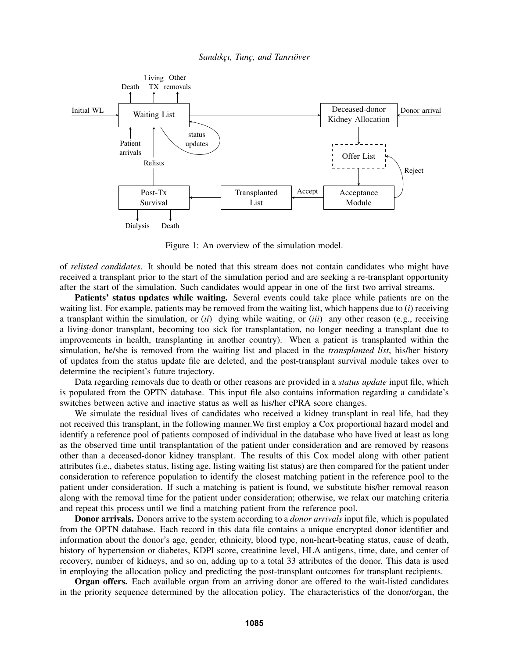



<span id="page-6-0"></span>Figure 1: An overview of the simulation model.

of *relisted candidates*. It should be noted that this stream does not contain candidates who might have received a transplant prior to the start of the simulation period and are seeking a re-transplant opportunity after the start of the simulation. Such candidates would appear in one of the first two arrival streams.

Patients' status updates while waiting. Several events could take place while patients are on the waiting list. For example, patients may be removed from the waiting list, which happens due to (*i*) receiving a transplant within the simulation, or (*ii*) dying while waiting, or (*iii*) any other reason (e.g., receiving a living-donor transplant, becoming too sick for transplantation, no longer needing a transplant due to improvements in health, transplanting in another country). When a patient is transplanted within the simulation, he/she is removed from the waiting list and placed in the *transplanted list*, his/her history of updates from the status update file are deleted, and the post-transplant survival module takes over to determine the recipient's future trajectory.

Data regarding removals due to death or other reasons are provided in a *status update* input file, which is populated from the OPTN database. This input file also contains information regarding a candidate's switches between active and inactive status as well as his/her cPRA score changes.

We simulate the residual lives of candidates who received a kidney transplant in real life, had they not received this transplant, in the following manner.We first employ a Cox proportional hazard model and identify a reference pool of patients composed of individual in the database who have lived at least as long as the observed time until transplantation of the patient under consideration and are removed by reasons other than a deceased-donor kidney transplant. The results of this Cox model along with other patient attributes (i.e., diabetes status, listing age, listing waiting list status) are then compared for the patient under consideration to reference population to identify the closest matching patient in the reference pool to the patient under consideration. If such a matching is patient is found, we substitute his/her removal reason along with the removal time for the patient under consideration; otherwise, we relax our matching criteria and repeat this process until we find a matching patient from the reference pool.

Donor arrivals. Donors arrive to the system according to a *donor arrivals* input file, which is populated from the OPTN database. Each record in this data file contains a unique encrypted donor identifier and information about the donor's age, gender, ethnicity, blood type, non-heart-beating status, cause of death, history of hypertension or diabetes, KDPI score, creatinine level, HLA antigens, time, date, and center of recovery, number of kidneys, and so on, adding up to a total 33 attributes of the donor. This data is used in employing the allocation policy and predicting the post-transplant outcomes for transplant recipients.

Organ offers. Each available organ from an arriving donor are offered to the wait-listed candidates in the priority sequence determined by the allocation policy. The characteristics of the donor/organ, the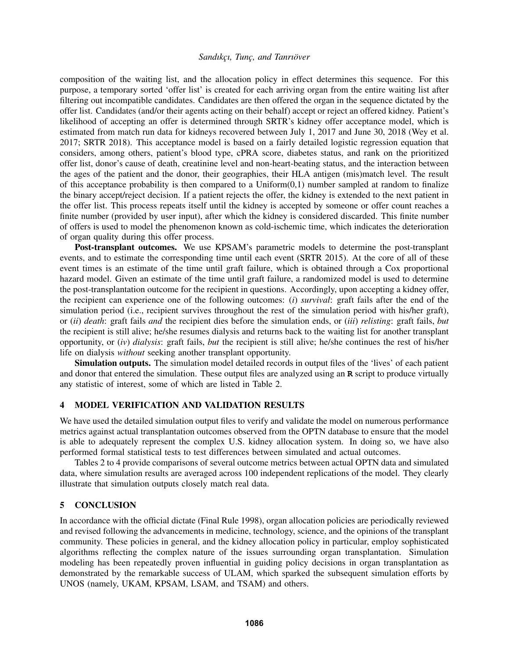composition of the waiting list, and the allocation policy in effect determines this sequence. For this purpose, a temporary sorted 'offer list' is created for each arriving organ from the entire waiting list after filtering out incompatible candidates. Candidates are then offered the organ in the sequence dictated by the offer list. Candidates (and/or their agents acting on their behalf) accept or reject an offered kidney. Patient's likelihood of accepting an offer is determined through SRTR's kidney offer acceptance model, which is estimated from match run data for kidneys recovered between July 1, 2017 and June 30, 2018 [\(Wey et al.](#page-11-11) [2017;](#page-11-11) [SRTR 2018\)](#page-11-12). This acceptance model is based on a fairly detailed logistic regression equation that considers, among others, patient's blood type, cPRA score, diabetes status, and rank on the prioritized offer list, donor's cause of death, creatinine level and non-heart-beating status, and the interaction between the ages of the patient and the donor, their geographies, their HLA antigen (mis)match level. The result of this acceptance probability is then compared to a Uniform $(0,1)$  number sampled at random to finalize the binary accept/reject decision. If a patient rejects the offer, the kidney is extended to the next patient in the offer list. This process repeats itself until the kidney is accepted by someone or offer count reaches a finite number (provided by user input), after which the kidney is considered discarded. This finite number of offers is used to model the phenomenon known as cold-ischemic time, which indicates the deterioration of organ quality during this offer process.

Post-transplant outcomes. We use KPSAM's parametric models to determine the post-transplant events, and to estimate the corresponding time until each event [\(SRTR 2015\)](#page-11-10). At the core of all of these event times is an estimate of the time until graft failure, which is obtained through a Cox proportional hazard model. Given an estimate of the time until graft failure, a randomized model is used to determine the post-transplantation outcome for the recipient in questions. Accordingly, upon accepting a kidney offer, the recipient can experience one of the following outcomes: (*i*) *survival*: graft fails after the end of the simulation period (i.e., recipient survives throughout the rest of the simulation period with his/her graft), or (*ii*) *death*: graft fails *and* the recipient dies before the simulation ends, or (*iii*) *relisting*: graft fails, *but* the recipient is still alive; he/she resumes dialysis and returns back to the waiting list for another transplant opportunity, or (*iv*) *dialysis*: graft fails, *but* the recipient is still alive; he/she continues the rest of his/her life on dialysis *without* seeking another transplant opportunity.

Simulation outputs. The simulation model detailed records in output files of the 'lives' of each patient and donor that entered the simulation. These output files are analyzed using an **R** script to produce virtually any statistic of interest, some of which are listed in Table [2.](#page-8-0)

### 4 MODEL VERIFICATION AND VALIDATION RESULTS

We have used the detailed simulation output files to verify and validate the model on numerous performance metrics against actual transplantation outcomes observed from the OPTN database to ensure that the model is able to adequately represent the complex U.S. kidney allocation system. In doing so, we have also performed formal statistical tests to test differences between simulated and actual outcomes.

Tables [2](#page-8-0) to [4](#page-9-0) provide comparisons of several outcome metrics between actual OPTN data and simulated data, where simulation results are averaged across 100 independent replications of the model. They clearly illustrate that simulation outputs closely match real data.

## 5 CONCLUSION

In accordance with the official dictate [\(Final Rule 1998\)](#page-10-8), organ allocation policies are periodically reviewed and revised following the advancements in medicine, technology, science, and the opinions of the transplant community. These policies in general, and the kidney allocation policy in particular, employ sophisticated algorithms reflecting the complex nature of the issues surrounding organ transplantation. Simulation modeling has been repeatedly proven influential in guiding policy decisions in organ transplantation as demonstrated by the remarkable success of ULAM, which sparked the subsequent simulation efforts by UNOS (namely, UKAM, KPSAM, LSAM, and TSAM) and others.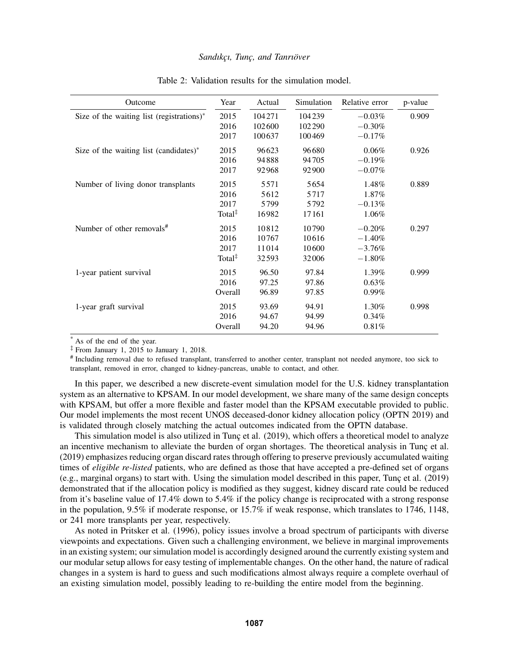| Outcome                                      | Year               | Actual | Simulation | Relative error | p-value |
|----------------------------------------------|--------------------|--------|------------|----------------|---------|
| Size of the waiting list (registrations) $*$ | 2015               | 104271 | 104239     | $-0.03\%$      | 0.909   |
|                                              | 2016               | 102600 | 102290     | $-0.30%$       |         |
|                                              | 2017               | 100637 | 100469     | $-0.17\%$      |         |
| Size of the waiting list (candidates) $*$    | 2015               | 96623  | 96680      | 0.06%          | 0.926   |
|                                              | 2016               | 94888  | 94705      | $-0.19%$       |         |
|                                              | 2017               | 92968  | 92900      | $-0.07\%$      |         |
| Number of living donor transplants           | 2015               | 5571   | 5654       | 1.48%          | 0.889   |
|                                              | 2016               | 5612   | 5717       | 1.87%          |         |
|                                              | 2017               | 5799   | 5792       | $-0.13\%$      |         |
|                                              | Total <sup>‡</sup> | 16982  | 17161      | 1.06%          |         |
| Number of other removals <sup>#</sup>        | 2015               | 10812  | 10790      | $-0.20%$       | 0.297   |
|                                              | 2016               | 10767  | 10616      | $-1.40\%$      |         |
|                                              | 2017               | 11014  | 10600      | $-3.76%$       |         |
|                                              | Total <sup>‡</sup> | 32593  | 32006      | $-1.80\%$      |         |
| 1-year patient survival                      | 2015               | 96.50  | 97.84      | $1.39\%$       | 0.999   |
|                                              | 2016               | 97.25  | 97.86      | 0.63%          |         |
|                                              | Overall            | 96.89  | 97.85      | $0.99\%$       |         |
| 1-year graft survival                        | 2015               | 93.69  | 94.91      | 1.30%          | 0.998   |
|                                              | 2016               | 94.67  | 94.99      | 0.34%          |         |
|                                              | Overall            | 94.20  | 94.96      | 0.81%          |         |

#### <span id="page-8-0"></span>Table 2: Validation results for the simulation model.

\* As of the end of the year.

 $\frac{1}{4}$  From January 1, 2015 to January 1, 2018.

# Including removal due to refused transplant, transferred to another center, transplant not needed anymore, too sick to transplant, removed in error, changed to kidney-pancreas, unable to contact, and other.

In this paper, we described a new discrete-event simulation model for the U.S. kidney transplantation system as an alternative to KPSAM. In our model development, we share many of the same design concepts with KPSAM, but offer a more flexible and faster model than the KPSAM executable provided to public. Our model implements the most recent UNOS deceased-donor kidney allocation policy [\(OPTN 2019\)](#page-11-9) and is validated through closely matching the actual outcomes indicated from the OPTN database.

This simulation model is also utilized in Tunc et al. (2019), which offers a theoretical model to analyze an incentive mechanism to alleviate the burden of organ shortages. The theoretical analysis in Tunc et al. [\(2019\)](#page-11-13) emphasizes reducing organ discard rates through offering to preserve previously accumulated waiting times of *eligible re-listed* patients, who are defined as those that have accepted a pre-defined set of organs  $(e.g., marginal organs)$  to start with. Using the simulation model described in this paper, Tunc et al.  $(2019)$ demonstrated that if the allocation policy is modified as they suggest, kidney discard rate could be reduced from it's baseline value of 17.4% down to 5.4% if the policy change is reciprocated with a strong response in the population, 9.5% if moderate response, or 15.7% if weak response, which translates to 1746, 1148, or 241 more transplants per year, respectively.

As noted in [Pritsker et al. \(1996\),](#page-11-14) policy issues involve a broad spectrum of participants with diverse viewpoints and expectations. Given such a challenging environment, we believe in marginal improvements in an existing system; our simulation model is accordingly designed around the currently existing system and our modular setup allows for easy testing of implementable changes. On the other hand, the nature of radical changes in a system is hard to guess and such modifications almost always require a complete overhaul of an existing simulation model, possibly leading to re-building the entire model from the beginning.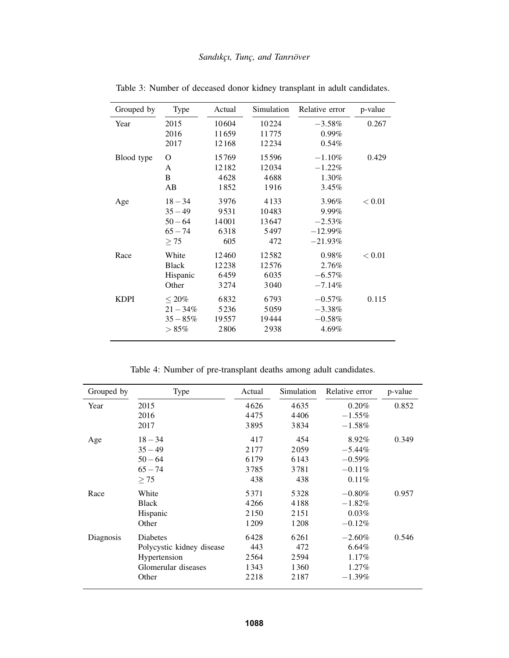| Grouped by  | <b>Type</b>                                                   | Actual                               | Simulation                            | Relative error                                       | p-value |
|-------------|---------------------------------------------------------------|--------------------------------------|---------------------------------------|------------------------------------------------------|---------|
| Year        | 2015<br>2016<br>2017                                          | 10604<br>11659<br>12168              | 10224<br>11775<br>12234               | $-3.58\%$<br>$0.99\%$<br>0.54%                       | 0.267   |
| Blood type  | O<br>A<br>B<br>AB                                             | 15769<br>12182<br>4628<br>1852       | 15596<br>12034<br>4688<br>1916        | $-1.10\%$<br>$-1.22%$<br>1.30%<br>3.45%              | 0.429   |
| Age         | $18 - 34$<br>$35 - 49$<br>$50 - 64$<br>$65 - 74$<br>$\geq$ 75 | 3976<br>9531<br>14001<br>6318<br>605 | 4133<br>10483<br>13647<br>5497<br>472 | 3.96%<br>9.99%<br>$-2.53%$<br>$-12.99%$<br>$-21.93%$ | < 0.01  |
| Race        | White<br><b>Black</b><br>Hispanic<br>Other                    | 12460<br>12238<br>6459<br>3274       | 12582<br>12576<br>6035<br>3040        | 0.98%<br>2.76%<br>$-6.57\%$<br>$-7.14%$              | < 0.01  |
| <b>KDPI</b> | $\leq 20\%$<br>$21 - 34\%$<br>$35 - 85\%$<br>$>85\%$          | 6832<br>5236<br>19557<br>2806        | 6793<br>5059<br>19444<br>2938         | $-0.57\%$<br>$-3.38%$<br>$-0.58\%$<br>4.69%          | 0.115   |

Table 3: Number of deceased donor kidney transplant in adult candidates.

<span id="page-9-0"></span>Table 4: Number of pre-transplant deaths among adult candidates.

| Grouped by | <b>Type</b>               | Actual | Simulation | Relative error | p-value |
|------------|---------------------------|--------|------------|----------------|---------|
| Year       | 2015                      | 4626   | 4635       | 0.20%          | 0.852   |
|            | 2016                      | 4475   | 4406       | $-1.55\%$      |         |
|            | 2017                      | 3895   | 3834       | $-1.58\%$      |         |
| Age        | $18 - 34$                 | 417    | 454        | 8.92%          | 0.349   |
|            | $35 - 49$                 | 2177   | 2059       | $-5.44\%$      |         |
|            | $50 - 64$                 | 6179   | 6143       | $-0.59%$       |         |
|            | $65 - 74$                 | 3785   | 3781       | $-0.11%$       |         |
|            | $\geq$ 75                 | 438    | 438        | 0.11%          |         |
| Race       | White                     | 5371   | 5328       | $-0.80\%$      | 0.957   |
|            | <b>Black</b>              | 4266   | 4188       | $-1.82%$       |         |
|            | Hispanic                  | 2150   | 2151       | $0.03\%$       |         |
|            | Other                     | 1209   | 1208       | $-0.12\%$      |         |
| Diagnosis  | Diabetes                  | 6428   | 6261       | $-2.60\%$      | 0.546   |
|            | Polycystic kidney disease | 443    | 472        | 6.64%          |         |
|            | Hypertension              | 2564   | 2594       | 1.17%          |         |
|            | Glomerular diseases       | 1343   | 1360       | 1.27%          |         |
|            | Other                     | 2218   | 2187       | $-1.39\%$      |         |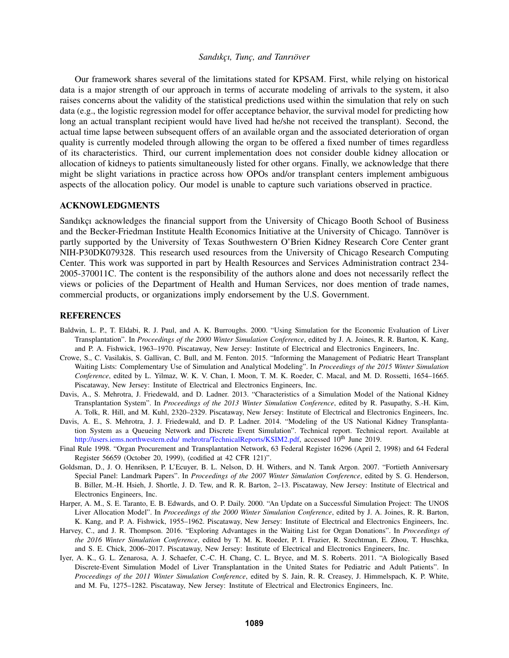Our framework shares several of the limitations stated for KPSAM. First, while relying on historical data is a major strength of our approach in terms of accurate modeling of arrivals to the system, it also raises concerns about the validity of the statistical predictions used within the simulation that rely on such data (e.g., the logistic regression model for offer acceptance behavior, the survival model for predicting how long an actual transplant recipient would have lived had he/she not received the transplant). Second, the actual time lapse between subsequent offers of an available organ and the associated deterioration of organ quality is currently modeled through allowing the organ to be offered a fixed number of times regardless of its characteristics. Third, our current implementation does not consider double kidney allocation or allocation of kidneys to patients simultaneously listed for other organs. Finally, we acknowledge that there might be slight variations in practice across how OPOs and/or transplant centers implement ambiguous aspects of the allocation policy. Our model is unable to capture such variations observed in practice.

## ACKNOWLEDGMENTS

Sandıkcı acknowledges the financial support from the University of Chicago Booth School of Business and the Becker-Friedman Institute Health Economics Initiative at the University of Chicago. Tanrıöver is partly supported by the University of Texas Southwestern O'Brien Kidney Research Core Center grant NIH-P30DK079328. This research used resources from the University of Chicago Research Computing Center. This work was supported in part by Health Resources and Services Administration contract 234- 2005-370011C. The content is the responsibility of the authors alone and does not necessarily reflect the views or policies of the Department of Health and Human Services, nor does mention of trade names, commercial products, or organizations imply endorsement by the U.S. Government.

### REFERENCES

- <span id="page-10-0"></span>Baldwin, L. P., T. Eldabi, R. J. Paul, and A. K. Burroughs. 2000. "Using Simulation for the Economic Evaluation of Liver Transplantation". In *Proceedings of the 2000 Winter Simulation Conference*, edited by J. A. Joines, R. R. Barton, K. Kang, and P. A. Fishwick, 1963–1970. Piscataway, New Jersey: Institute of Electrical and Electronics Engineers, Inc.
- <span id="page-10-7"></span>Crowe, S., C. Vasilakis, S. Gallivan, C. Bull, and M. Fenton. 2015. "Informing the Management of Pediatric Heart Transplant Waiting Lists: Complementary Use of Simulation and Analytical Modeling". In *Proceedings of the 2015 Winter Simulation Conference*, edited by L. Yilmaz, W. K. V. Chan, I. Moon, T. M. K. Roeder, C. Macal, and M. D. Rossetti, 1654–1665. Piscataway, New Jersey: Institute of Electrical and Electronics Engineers, Inc.
- <span id="page-10-3"></span>Davis, A., S. Mehrotra, J. Friedewald, and D. Ladner. 2013. "Characteristics of a Simulation Model of the National Kidney Transplantation System". In *Proceedings of the 2013 Winter Simulation Conference*, edited by R. Pasupathy, S.-H. Kim, A. Tolk, R. Hill, and M. Kuhl, 2320–2329. Piscataway, New Jersey: Institute of Electrical and Electronics Engineers, Inc.
- <span id="page-10-4"></span>Davis, A. E., S. Mehrotra, J. J. Friedewald, and D. P. Ladner. 2014. "Modeling of the US National Kidney Transplantation System as a Queueing Network and Discrete Event Simulation". Technical report. Technical report. Available at [http://users.iems.northwestern.edu/ mehrotra/TechnicalReports/KSIM2.pdf,](http://users.iems.northwestern.edu/~mehrotra/TechnicalReports/KSIM2.pdf) accessed 10<sup>th</sup> June 2019.
- <span id="page-10-8"></span>Final Rule 1998. "Organ Procurement and Transplantation Network, 63 Federal Register 16296 (April 2, 1998) and 64 Federal Register 56659 (October 20, 1999), (codified at 42 CFR 121)".
- <span id="page-10-2"></span>Goldsman, D., J. O. Henriksen, P. L'Ecuyer, B. L. Nelson, D. H. Withers, and N. Tanık Argon. 2007. "Fortieth Anniversary Special Panel: Landmark Papers". In *Proceedings of the 2007 Winter Simulation Conference*, edited by S. G. Henderson, B. Biller, M.-H. Hsieh, J. Shortle, J. D. Tew, and R. R. Barton, 2–13. Piscataway, New Jersey: Institute of Electrical and Electronics Engineers, Inc.
- <span id="page-10-1"></span>Harper, A. M., S. E. Taranto, E. B. Edwards, and O. P. Daily. 2000. "An Update on a Successful Simulation Project: The UNOS Liver Allocation Model". In *Proceedings of the 2000 Winter Simulation Conference*, edited by J. A. Joines, R. R. Barton, K. Kang, and P. A. Fishwick, 1955–1962. Piscataway, New Jersey: Institute of Electrical and Electronics Engineers, Inc.
- <span id="page-10-5"></span>Harvey, C., and J. R. Thompson. 2016. "Exploring Advantages in the Waiting List for Organ Donations". In *Proceedings of the 2016 Winter Simulation Conference*, edited by T. M. K. Roeder, P. I. Frazier, R. Szechtman, E. Zhou, T. Huschka, and S. E. Chick, 2006–2017. Piscataway, New Jersey: Institute of Electrical and Electronics Engineers, Inc.
- <span id="page-10-6"></span>Iyer, A. K., G. L. Zenarosa, A. J. Schaefer, C.-C. H. Chang, C. L. Bryce, and M. S. Roberts. 2011. "A Biologically Based Discrete-Event Simulation Model of Liver Transplantation in the United States for Pediatric and Adult Patients". In *Proceedings of the 2011 Winter Simulation Conference*, edited by S. Jain, R. R. Creasey, J. Himmelspach, K. P. White, and M. Fu, 1275–1282. Piscataway, New Jersey: Institute of Electrical and Electronics Engineers, Inc.